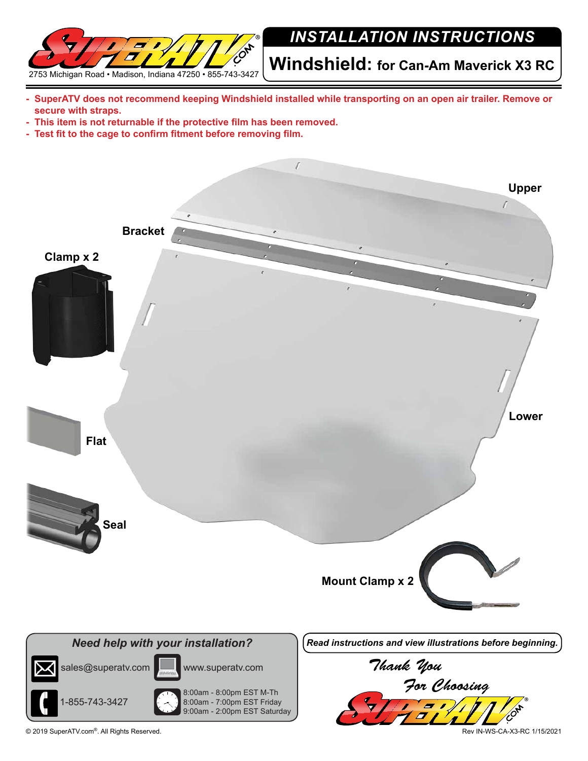

## *INSTALLATION INSTRUCTIONS*

**Windshield: for Can-Am Maverick X3 RC** 

- **- SuperATV does not recommend keeping Windshield installed while transporting on an open air trailer. Remove or secure with straps.**
- **- This item is not returnable if the protective film has been removed.**
- **- Test fit to the cage to confirm fitment before removing film.**



© 2019 SuperATV.com®. All Rights Reserved. Rev IN-WS-CA-X3-RC 1/15/2021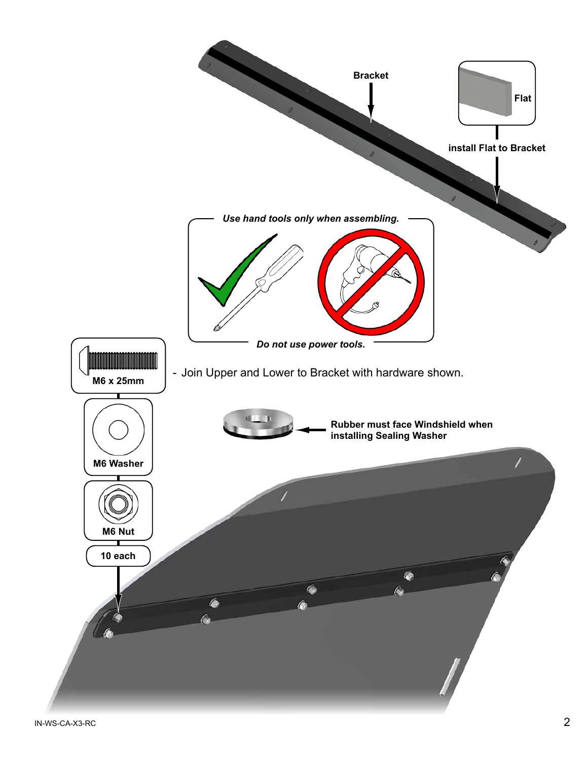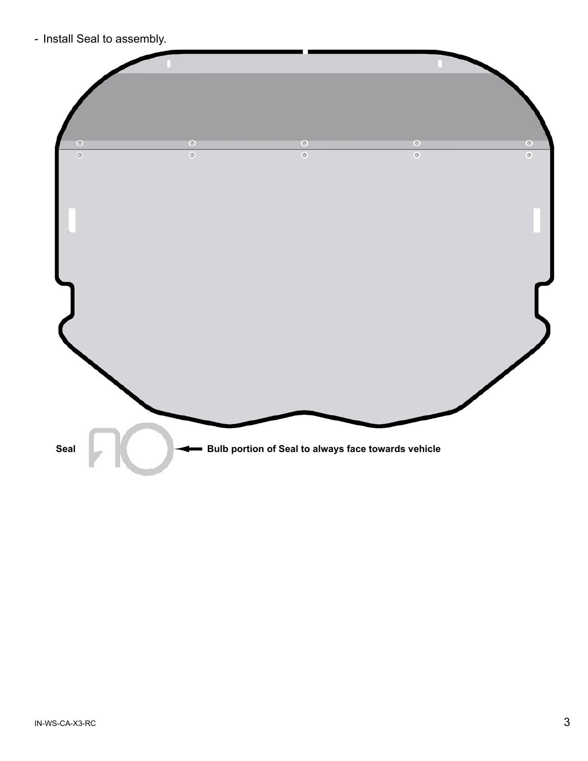- Install Seal to assembly.

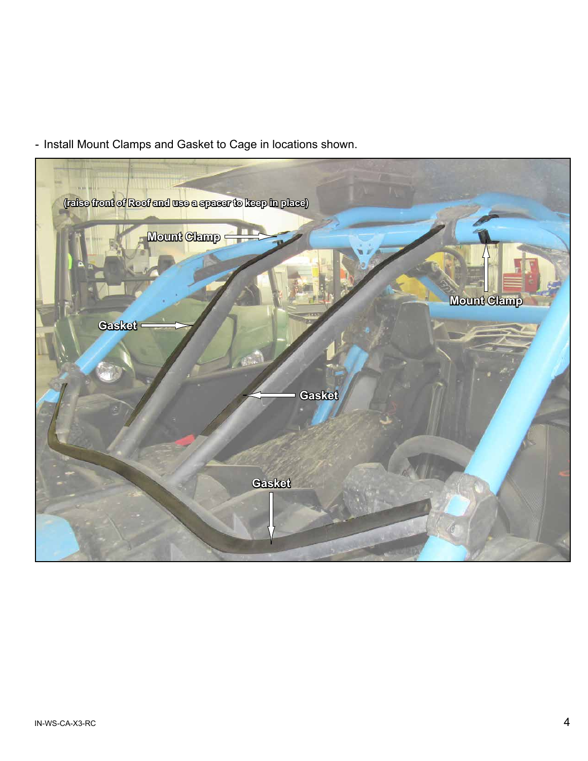- Install Mount Clamps and Gasket to Cage in locations shown.

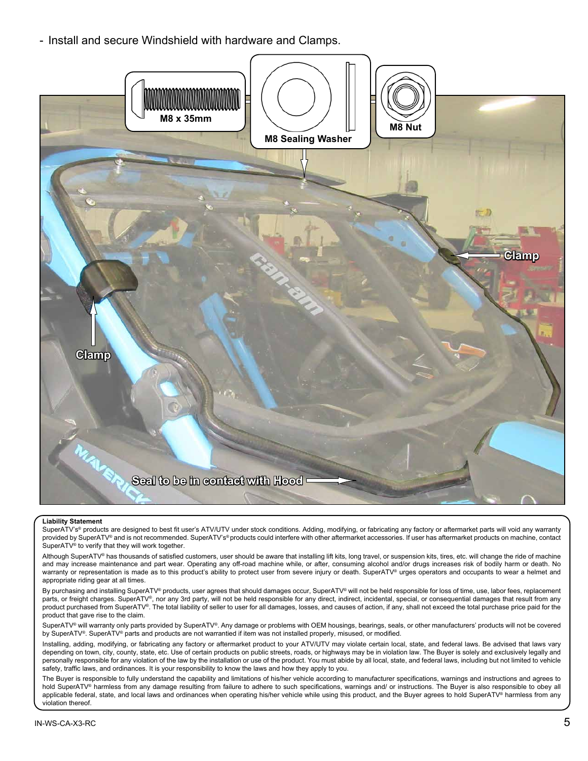- Install and secure Windshield with hardware and Clamps.



## **Liability Statement**

SuperATV's® products are designed to best fit user's ATV/UTV under stock conditions. Adding, modifying, or fabricating any factory or aftermarket parts will void any warranty provided by SuperATV® and is not recommended. SuperATV's® products could interfere with other aftermarket accessories. If user has aftermarket products on machine, contact SuperATV® to verify that they will work together.

Although SuperATV® has thousands of satisfied customers, user should be aware that installing lift kits, long travel, or suspension kits, tires, etc. will change the ride of machine and may increase maintenance and part wear. Operating any off-road machine while, or after, consuming alcohol and/or drugs increases risk of bodily harm or death. No warranty or representation is made as to this product's ability to protect user from severe injury or death. SuperATV® urges operators and occupants to wear a helmet and appropriate riding gear at all times.

By purchasing and installing SuperATV® products, user agrees that should damages occur, SuperATV® will not be held responsible for loss of time, use, labor fees, replacement parts, or freight charges. SuperATV®, nor any 3rd party, will not be held responsible for any direct, indirect, incidental, special, or consequential damages that result from any product purchased from SuperATV®. The total liability of seller to user for all damages, losses, and causes of action, if any, shall not exceed the total purchase price paid for the product that gave rise to the claim.

SuperATV® will warranty only parts provided by SuperATV®. Any damage or problems with OEM housings, bearings, seals, or other manufacturers' products will not be covered by SuperATV®. SuperATV® parts and products are not warrantied if item was not installed properly, misused, or modified.

Installing, adding, modifying, or fabricating any factory or aftermarket product to your ATV/UTV may violate certain local, state, and federal laws. Be advised that laws vary depending on town, city, county, state, etc. Use of certain products on public streets, roads, or highways may be in violation law. The Buyer is solely and exclusively legally and personally responsible for any violation of the law by the installation or use of the product. You must abide by all local, state, and federal laws, including but not limited to vehicle safety, traffic laws, and ordinances. It is your responsibility to know the laws and how they apply to you.

The Buyer is responsible to fully understand the capability and limitations of his/her vehicle according to manufacturer specifications, warnings and instructions and agrees to hold SuperATV® harmless from any damage resulting from failure to adhere to such specifications, warnings and/ or instructions. The Buyer is also responsible to obey all applicable federal, state, and local laws and ordinances when operating his/her vehicle while using this product, and the Buyer agrees to hold SuperATV® harmless from any violation thereof.